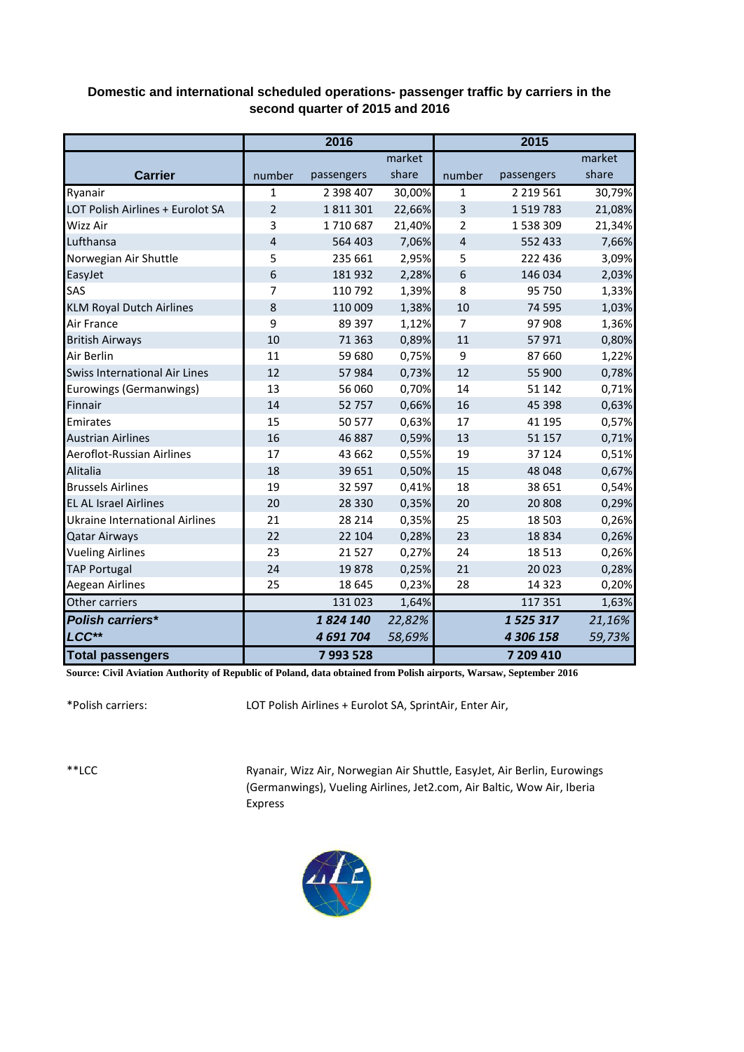## **Domestic and international scheduled operations- passenger traffic by carriers in the second quarter of 2015 and 2016**

|                                       | 2016           |            |        | 2015           |               |        |  |
|---------------------------------------|----------------|------------|--------|----------------|---------------|--------|--|
|                                       |                |            | market |                |               | market |  |
| <b>Carrier</b>                        | number         | passengers | share  | number         | passengers    | share  |  |
| Ryanair                               | 1              | 2 398 407  | 30,00% | 1              | 2 2 19 5 6 1  | 30,79% |  |
| LOT Polish Airlines + Eurolot SA      | $\overline{2}$ | 1811301    | 22,66% | 3              | 1 5 1 9 7 8 3 | 21,08% |  |
| Wizz Air                              | 3              | 1710687    | 21,40% | 2              | 1 538 309     | 21,34% |  |
| Lufthansa                             | $\overline{4}$ | 564 403    | 7,06%  | $\overline{4}$ | 552 433       | 7,66%  |  |
| Norwegian Air Shuttle                 | 5              | 235 661    | 2,95%  | 5              | 222 436       | 3,09%  |  |
| EasyJet                               | 6              | 181 932    | 2,28%  | 6              | 146 034       | 2,03%  |  |
| SAS                                   | 7              | 110 792    | 1,39%  | 8              | 95 750        | 1,33%  |  |
| <b>KLM Royal Dutch Airlines</b>       | 8              | 110 009    | 1,38%  | 10             | 74 595        | 1,03%  |  |
| Air France                            | 9              | 89 397     | 1,12%  | 7              | 97 908        | 1,36%  |  |
| <b>British Airways</b>                | 10             | 71 3 63    | 0,89%  | 11             | 57971         | 0,80%  |  |
| Air Berlin                            | 11             | 59 680     | 0,75%  | 9              | 87 660        | 1,22%  |  |
| Swiss International Air Lines         | 12             | 57984      | 0,73%  | 12             | 55 900        | 0,78%  |  |
| Eurowings (Germanwings)               | 13             | 56 060     | 0,70%  | 14             | 51 142        | 0,71%  |  |
| Finnair                               | 14             | 52 757     | 0,66%  | 16             | 45 3 98       | 0,63%  |  |
| Emirates                              | 15             | 50 577     | 0,63%  | 17             | 41 195        | 0,57%  |  |
| <b>Austrian Airlines</b>              | 16             | 46 887     | 0,59%  | 13             | 51 157        | 0,71%  |  |
| Aeroflot-Russian Airlines             | 17             | 43 662     | 0,55%  | 19             | 37 124        | 0,51%  |  |
| Alitalia                              | 18             | 39 651     | 0,50%  | 15             | 48 048        | 0,67%  |  |
| <b>Brussels Airlines</b>              | 19             | 32 597     | 0,41%  | 18             | 38 651        | 0,54%  |  |
| <b>EL AL Israel Airlines</b>          | 20             | 28 3 30    | 0,35%  | 20             | 20 808        | 0,29%  |  |
| <b>Ukraine International Airlines</b> | 21             | 28 214     | 0,35%  | 25             | 18 503        | 0,26%  |  |
| <b>Qatar Airways</b>                  | 22             | 22 104     | 0,28%  | 23             | 18834         | 0,26%  |  |
| <b>Vueling Airlines</b>               | 23             | 21527      | 0,27%  | 24             | 18 5 13       | 0,26%  |  |
| <b>TAP Portugal</b>                   | 24             | 19878      | 0,25%  | 21             | 20 0 23       | 0,28%  |  |
| Aegean Airlines                       | 25             | 18 6 45    | 0,23%  | 28             | 14 3 23       | 0,20%  |  |
| Other carriers                        |                | 131 023    | 1,64%  |                | 117 351       | 1,63%  |  |
| <b>Polish carriers*</b>               |                | 1824 140   | 22,82% |                | 1525317       | 21,16% |  |
| LCC**                                 |                | 4 691 704  | 58,69% |                | 4 306 158     | 59,73% |  |
| <b>Total passengers</b>               |                | 7993528    |        |                | 7 209 410     |        |  |

**Source: Civil Aviation Authority of Republic of Poland, data obtained from Polish airports, Warsaw, September 2016**

\*Polish carriers:

LOT Polish Airlines + Eurolot SA, SprintAir, Enter Air,

\*\*LCC

Ryanair, Wizz Air, Norwegian Air Shuttle, EasyJet, Air Berlin, Eurowings (Germanwings), Vueling Airlines, Jet2.com, Air Baltic, Wow Air, Iberia Express